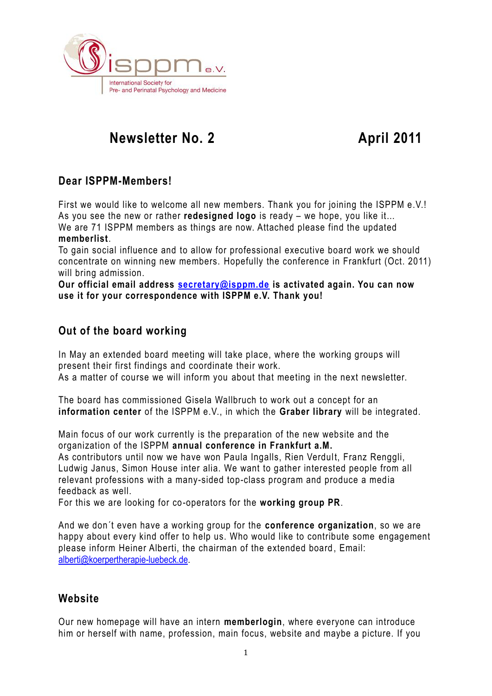

# **Rewsletter No. 2** April 2011

## **Dear ISPPM-Members!**

First we would like to welcome all new members. Thank you for joining the ISPPM e.V.! As you see the new or rather **redesigned logo** is ready – we hope, you like it… We are 71 ISPPM members as things are now. Attached please find the updated **memberlist**.

To gain social influence and to allow for professional executive board work we should concentrate on winning new members. Hopefully the conference in Frankfurt (Oct. 2011) will bring admission.

**Our official email address [secretary@isppm.de](mailto:secretary@isppm.de) is activated again. You can now use it for your correspondence with ISPPM e.V. Thank you!**

## **Out of the board working**

In May an extended board meeting will take place, where the working groups will present their first findings and coordinate their work.

As a matter of course we will inform you about that meeting in the next newsletter.

The board has commissioned Gisela Wallbruch to work out a concept for an **information center** of the ISPPM e.V., in which the **Graber library** will be integrated.

Main focus of our work currently is the preparation of the new website and the organization of the ISPPM **annual conference in Frankfurt a.M.**

As contributors until now we have won Paula Ingalls, Rien Verdult, Franz Renggli, Ludwig Janus, Simon House inter alia. We want to gather interested people from all relevant professions with a many-sided top-class program and produce a media feedback as well.

For this we are looking for co-operators for the **working group PR**.

And we don´t even have a working group for the **conference organization**, so we are happy about every kind offer to help us. Who would like to contribute some engagement please inform Heiner Alberti, the chairman of the extended board , Email: [alberti@koerpertherapie-luebeck.de.](mailto:alberti@koerpertherapie-luebeck.de)

### **Website**

Our new homepage will have an intern **memberlogin**, where everyone can introduce him or herself with name, profession, main focus, website and maybe a picture. If you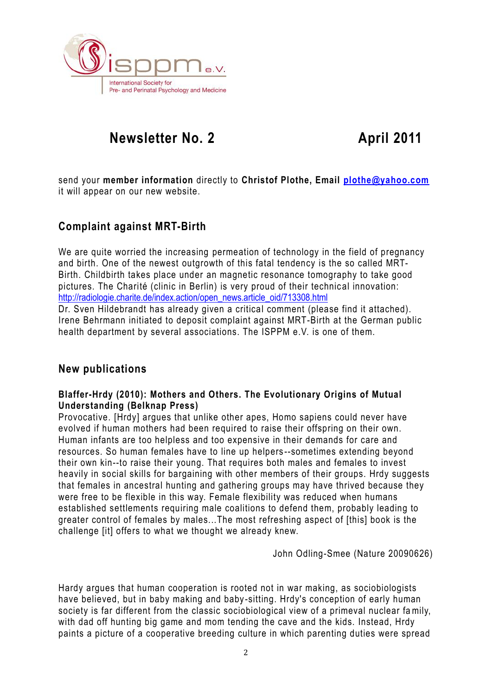

# **Rewsletter No. 2** April 2011

send your **member information** directly to **Christof Plothe, Email [plothe@yahoo.com](mailto:plothe@yahoo.com)** it will appear on our new website.

## **Complaint against MRT-Birth**

We are quite worried the increasing permeation of technology in the field of pregnancy and birth. One of the newest outgrowth of this fatal tendency is the so called MRT-Birth. Childbirth takes place under an magnetic resonance tomography to take good pictures. The Charité (clinic in Berlin) is very proud of their technical innovation: http://radiologie.charite.de/index.action/open\_news.article\_oid/713308.html

Dr. Sven Hildebrandt has already given a critical comment (please find it attached). Irene Behrmann initiated to deposit complaint against MRT-Birth at the German public health department by several associations. The ISPPM e.V. is one of them.

### **New publications**

#### **Blaffer-Hrdy (2010): Mothers and Others. The Evolutionary Origins of Mutual Understanding (Belknap Press)**

Provocative. [Hrdy] argues that unlike other apes, Homo sapiens could never have evolved if human mothers had been required to raise their offspring on their own. Human infants are too helpless and too expensive in their demands for care and resources. So human females have to line up helpers --sometimes extending beyond their own kin--to raise their young. That requires both males and females to invest heavily in social skills for bargaining with other members of their groups. Hrdy suggests that females in ancestral hunting and gathering groups may have thrived because they were free to be flexible in this way. Female flexibility was reduced when humans established settlements requiring male coalitions to defend them, probably leading to greater control of females by males...The most refreshing aspect of [this] book is the challenge [it] offers to what we thought we already knew.

John Odling-Smee (Nature 20090626)

Hardy argues that human cooperation is rooted not in war making, as sociobiologists have believed, but in baby making and baby -sitting. Hrdy's conception of early human society is far different from the classic sociobiological view of a primeval nuclear family, with dad off hunting big game and mom tending the cave and the kids. Instead, Hrdy paints a picture of a cooperative breeding culture in which parenting duties were spread